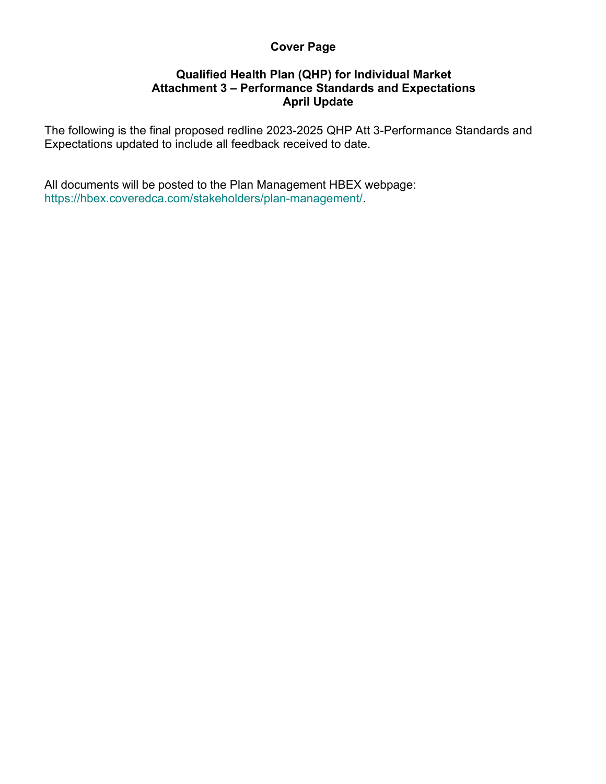## **Cover Page**

## **Qualified Health Plan (QHP) for Individual Market Attachment 3 – Performance Standards and Expectations April Update**

The following is the final proposed redline 2023-2025 QHP Att 3-Performance Standards and Expectations updated to include all feedback received to date.

All documents will be posted to the Plan Management HBEX webpage: https://hbex.coveredca.com/stakeholders/plan-management/.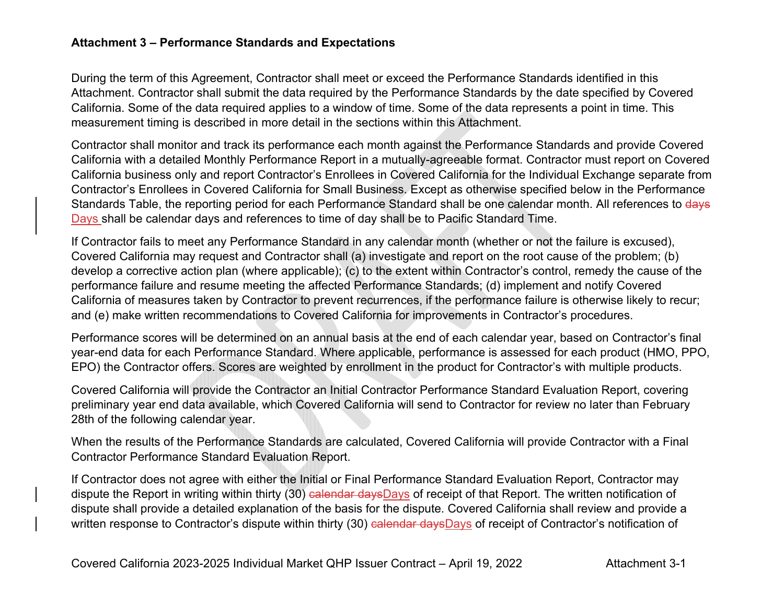## **Attachment 3 – Performance Standards and Expectations**

During the term of this Agreement, Contractor shall meet or exceed the Performance Standards identified in this Attachment. Contractor shall submit the data required by the Performance Standards by the date specified by Covered California. Some of the data required applies to a window of time. Some of the data represents a point in time. This measurement timing is described in more detail in the sections within this Attachment.

Contractor shall monitor and track its performance each month against the Performance Standards and provide Covered California with a detailed Monthly Performance Report in a mutually-agreeable format. Contractor must report on Covered California business only and report Contractor's Enrollees in Covered California for the Individual Exchange separate from Contractor's Enrollees in Covered California for Small Business. Except as otherwise specified below in the Performance Standards Table, the reporting period for each Performance Standard shall be one calendar month. All references to days Days shall be calendar days and references to time of day shall be to Pacific Standard Time.

If Contractor fails to meet any Performance Standard in any calendar month (whether or not the failure is excused), Covered California may request and Contractor shall (a) investigate and report on the root cause of the problem; (b) develop a corrective action plan (where applicable); (c) to the extent within Contractor's control, remedy the cause of the performance failure and resume meeting the affected Performance Standards; (d) implement and notify Covered California of measures taken by Contractor to prevent recurrences, if the performance failure is otherwise likely to recur; and (e) make written recommendations to Covered California for improvements in Contractor's procedures.

Performance scores will be determined on an annual basis at the end of each calendar year, based on Contractor's final year-end data for each Performance Standard. Where applicable, performance is assessed for each product (HMO, PPO, EPO) the Contractor offers. Scores are weighted by enrollment in the product for Contractor's with multiple products.

Covered California will provide the Contractor an Initial Contractor Performance Standard Evaluation Report, covering preliminary year end data available, which Covered California will send to Contractor for review no later than February 28th of the following calendar year.

When the results of the Performance Standards are calculated, Covered California will provide Contractor with a Final Contractor Performance Standard Evaluation Report.

If Contractor does not agree with either the Initial or Final Performance Standard Evaluation Report, Contractor may dispute the Report in writing within thirty (30) ealendar daysDays of receipt of that Report. The written notification of dispute shall provide a detailed explanation of the basis for the dispute. Covered California shall review and provide a written response to Contractor's dispute within thirty (30) calendar daysDays of receipt of Contractor's notification of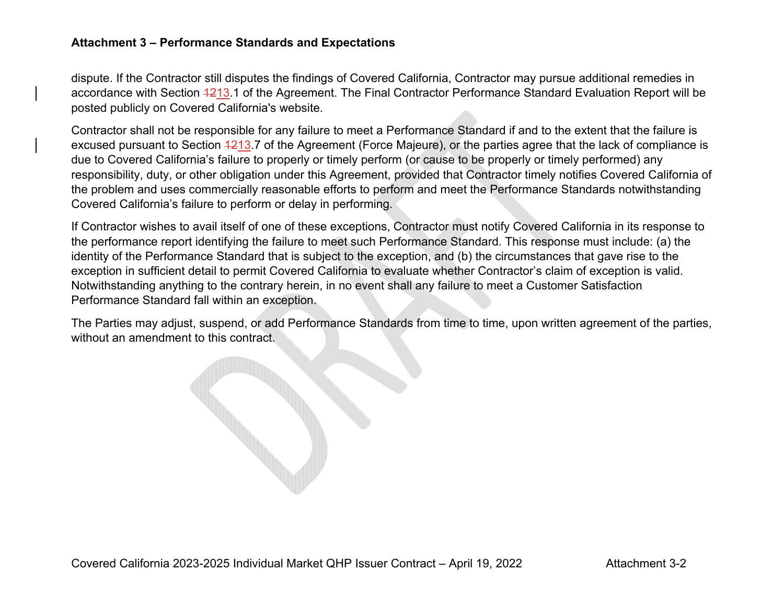## **Attachment 3 – Performance Standards and Expectations**

dispute. If the Contractor still disputes the findings of Covered California, Contractor may pursue additional remedies in accordance with Section 1213.1 of the Agreement. The Final Contractor Performance Standard Evaluation Report will be posted publicly on Covered California's website.

Contractor shall not be responsible for any failure to meet a Performance Standard if and to the extent that the failure is excused pursuant to Section 4213.7 of the Agreement (Force Majeure), or the parties agree that the lack of compliance is due to Covered California's failure to properly or timely perform (or cause to be properly or timely performed) any responsibility, duty, or other obligation under this Agreement, provided that Contractor timely notifies Covered California of the problem and uses commercially reasonable efforts to perform and meet the Performance Standards notwithstanding Covered California's failure to perform or delay in performing.

If Contractor wishes to avail itself of one of these exceptions, Contractor must notify Covered California in its response to the performance report identifying the failure to meet such Performance Standard. This response must include: (a) the identity of the Performance Standard that is subject to the exception, and (b) the circumstances that gave rise to the exception in sufficient detail to permit Covered California to evaluate whether Contractor's claim of exception is valid. Notwithstanding anything to the contrary herein, in no event shall any failure to meet a Customer Satisfaction Performance Standard fall within an exception.

The Parties may adjust, suspend, or add Performance Standards from time to time, upon written agreement of the parties, without an amendment to this contract.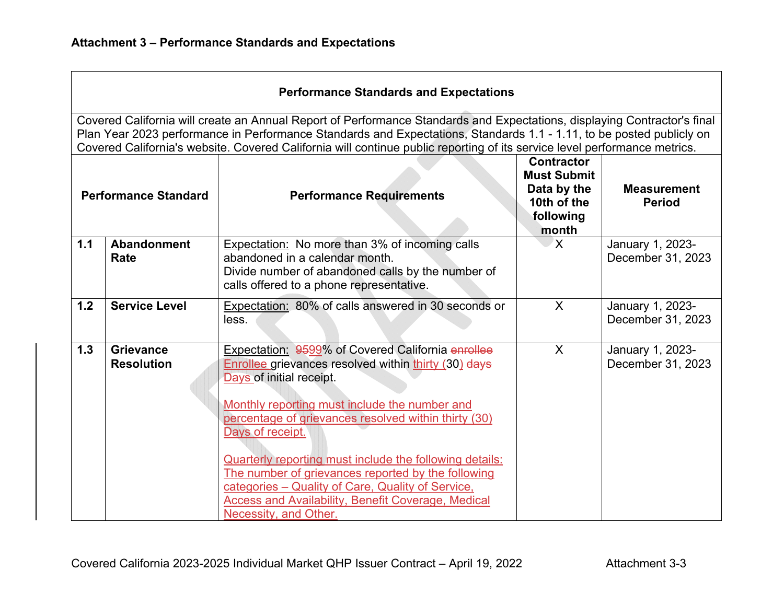|                                                                                                                                                                                                                                                                                                                                                                               | <b>Performance Standards and Expectations</b> |                                                                                                                                                                                                                                                                                                                                                                                                                                                                                                                                |                                                                                             |                                       |  |
|-------------------------------------------------------------------------------------------------------------------------------------------------------------------------------------------------------------------------------------------------------------------------------------------------------------------------------------------------------------------------------|-----------------------------------------------|--------------------------------------------------------------------------------------------------------------------------------------------------------------------------------------------------------------------------------------------------------------------------------------------------------------------------------------------------------------------------------------------------------------------------------------------------------------------------------------------------------------------------------|---------------------------------------------------------------------------------------------|---------------------------------------|--|
| Covered California will create an Annual Report of Performance Standards and Expectations, displaying Contractor's final<br>Plan Year 2023 performance in Performance Standards and Expectations, Standards 1.1 - 1.11, to be posted publicly on<br>Covered California's website. Covered California will continue public reporting of its service level performance metrics. |                                               |                                                                                                                                                                                                                                                                                                                                                                                                                                                                                                                                |                                                                                             |                                       |  |
| <b>Performance Standard</b>                                                                                                                                                                                                                                                                                                                                                   |                                               | <b>Performance Requirements</b>                                                                                                                                                                                                                                                                                                                                                                                                                                                                                                | <b>Contractor</b><br><b>Must Submit</b><br>Data by the<br>10th of the<br>following<br>month | <b>Measurement</b><br><b>Period</b>   |  |
| 1.1                                                                                                                                                                                                                                                                                                                                                                           | Abandonment<br>Rate                           | Expectation: No more than 3% of incoming calls<br>abandoned in a calendar month.<br>Divide number of abandoned calls by the number of<br>calls offered to a phone representative.                                                                                                                                                                                                                                                                                                                                              | X                                                                                           | January 1, 2023-<br>December 31, 2023 |  |
| 1.2                                                                                                                                                                                                                                                                                                                                                                           | <b>Service Level</b>                          | Expectation: 80% of calls answered in 30 seconds or<br>less.                                                                                                                                                                                                                                                                                                                                                                                                                                                                   | $\sf X$                                                                                     | January 1, 2023-<br>December 31, 2023 |  |
| 1.3                                                                                                                                                                                                                                                                                                                                                                           | <b>Grievance</b><br><b>Resolution</b>         | Expectation: 9599% of Covered California enrollee<br>Enrollee grievances resolved within thirty (30) days<br>Days of initial receipt.<br>Monthly reporting must include the number and<br>percentage of grievances resolved within thirty (30)<br>Days of receipt.<br>Quarterly reporting must include the following details:<br>The number of grievances reported by the following<br>categories - Quality of Care, Quality of Service,<br><b>Access and Availability, Benefit Coverage, Medical</b><br>Necessity, and Other. | $\sf X$                                                                                     | January 1, 2023-<br>December 31, 2023 |  |

the control of the control of the control of the control of the control of the control of the control of the control of the control of the control of the control of the control of the control of the control of the control

 $\overline{\phantom{a}}$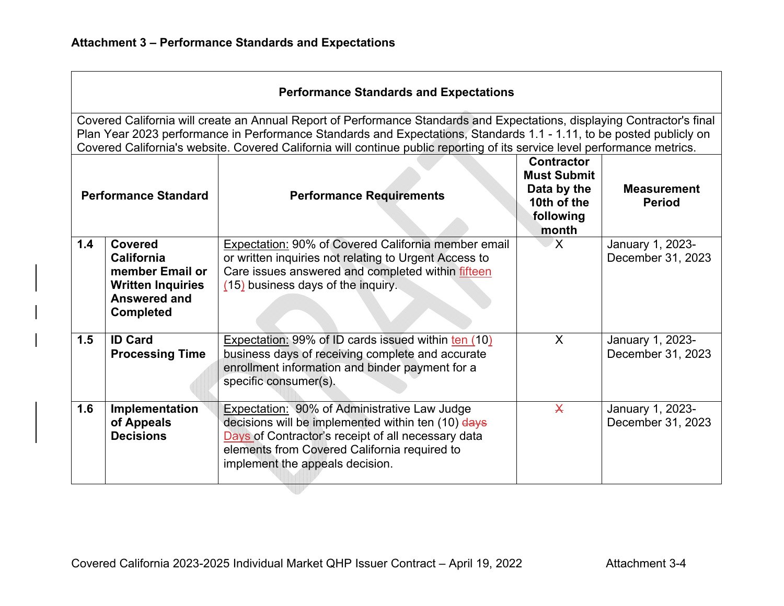|                                                                                                                                                                                                                                                                                                                                                                               | <b>Performance Standards and Expectations</b>                                                            |                                                                                                                                                                                                                                                    |                                                                                             |                                       |  |
|-------------------------------------------------------------------------------------------------------------------------------------------------------------------------------------------------------------------------------------------------------------------------------------------------------------------------------------------------------------------------------|----------------------------------------------------------------------------------------------------------|----------------------------------------------------------------------------------------------------------------------------------------------------------------------------------------------------------------------------------------------------|---------------------------------------------------------------------------------------------|---------------------------------------|--|
| Covered California will create an Annual Report of Performance Standards and Expectations, displaying Contractor's final<br>Plan Year 2023 performance in Performance Standards and Expectations, Standards 1.1 - 1.11, to be posted publicly on<br>Covered California's website. Covered California will continue public reporting of its service level performance metrics. |                                                                                                          |                                                                                                                                                                                                                                                    |                                                                                             |                                       |  |
| <b>Performance Standard</b>                                                                                                                                                                                                                                                                                                                                                   |                                                                                                          | <b>Performance Requirements</b>                                                                                                                                                                                                                    | <b>Contractor</b><br><b>Must Submit</b><br>Data by the<br>10th of the<br>following<br>month | <b>Measurement</b><br><b>Period</b>   |  |
| 1.4                                                                                                                                                                                                                                                                                                                                                                           | Covered<br>California<br>member Email or<br><b>Written Inquiries</b><br>Answered and<br><b>Completed</b> | Expectation: 90% of Covered California member email<br>or written inquiries not relating to Urgent Access to<br>Care issues answered and completed within fifteen<br>(15) business days of the inquiry.                                            | $\mathbf{X}$                                                                                | January 1, 2023-<br>December 31, 2023 |  |
| 1.5                                                                                                                                                                                                                                                                                                                                                                           | <b>ID Card</b><br><b>Processing Time</b>                                                                 | <b>Expectation: 99% of ID cards issued within ten (10)</b><br>business days of receiving complete and accurate<br>enrollment information and binder payment for a<br>specific consumer(s).                                                         | $\sf X$                                                                                     | January 1, 2023-<br>December 31, 2023 |  |
| 1.6                                                                                                                                                                                                                                                                                                                                                                           | Implementation<br>of Appeals<br><b>Decisions</b>                                                         | <b>Expectation: 90% of Administrative Law Judge</b><br>decisions will be implemented within ten (10) days<br>Days of Contractor's receipt of all necessary data<br>elements from Covered California required to<br>implement the appeals decision. | $\overline{\mathsf{X}}$                                                                     | January 1, 2023-<br>December 31, 2023 |  |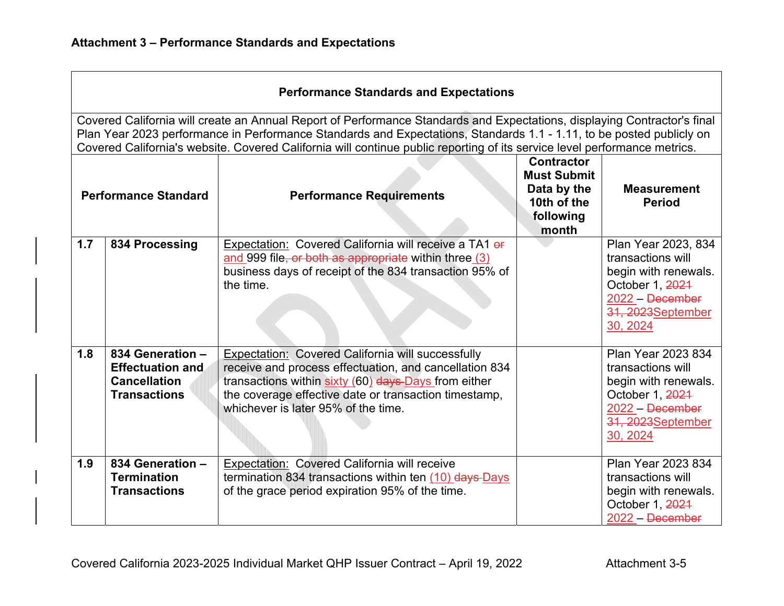|                             | <b>Performance Standards and Expectations</b>                                                                                                                                                                                                                                                                                                                                 |                                                                                                                                                                                                                                                                            |                                                                                             |                                                                                                                                          |  |  |
|-----------------------------|-------------------------------------------------------------------------------------------------------------------------------------------------------------------------------------------------------------------------------------------------------------------------------------------------------------------------------------------------------------------------------|----------------------------------------------------------------------------------------------------------------------------------------------------------------------------------------------------------------------------------------------------------------------------|---------------------------------------------------------------------------------------------|------------------------------------------------------------------------------------------------------------------------------------------|--|--|
|                             | Covered California will create an Annual Report of Performance Standards and Expectations, displaying Contractor's final<br>Plan Year 2023 performance in Performance Standards and Expectations, Standards 1.1 - 1.11, to be posted publicly on<br>Covered California's website. Covered California will continue public reporting of its service level performance metrics. |                                                                                                                                                                                                                                                                            |                                                                                             |                                                                                                                                          |  |  |
| <b>Performance Standard</b> |                                                                                                                                                                                                                                                                                                                                                                               | <b>Performance Requirements</b>                                                                                                                                                                                                                                            | <b>Contractor</b><br><b>Must Submit</b><br>Data by the<br>10th of the<br>following<br>month | <b>Measurement</b><br><b>Period</b>                                                                                                      |  |  |
| 1.7                         | 834 Processing                                                                                                                                                                                                                                                                                                                                                                | Expectation: Covered California will receive a TA1 of<br>and 999 file, or both as appropriate within three (3)<br>business days of receipt of the 834 transaction 95% of<br>the time.                                                                                      |                                                                                             | Plan Year 2023, 834<br>transactions will<br>begin with renewals.<br>October 1, 2021<br>2022 - December<br>31, 2023 September<br>30, 2024 |  |  |
| 1.8                         | 834 Generation -<br><b>Effectuation and</b><br><b>Cancellation</b><br><b>Transactions</b>                                                                                                                                                                                                                                                                                     | <b>Expectation: Covered California will successfully</b><br>receive and process effectuation, and cancellation 834<br>transactions within sixty (60) days Days from either<br>the coverage effective date or transaction timestamp,<br>whichever is later 95% of the time. |                                                                                             | Plan Year 2023 834<br>transactions will<br>begin with renewals.<br>October 1, 2021<br>2022 - December<br>31, 2023 September<br>30, 2024  |  |  |
| 1.9                         | 834 Generation -<br><b>Termination</b><br><b>Transactions</b>                                                                                                                                                                                                                                                                                                                 | Expectation: Covered California will receive<br>termination 834 transactions within ten $(10)$ days-Days<br>of the grace period expiration 95% of the time.                                                                                                                |                                                                                             | Plan Year 2023 834<br>transactions will<br>begin with renewals.<br>October 1, 2024<br>$2022 - December$                                  |  |  |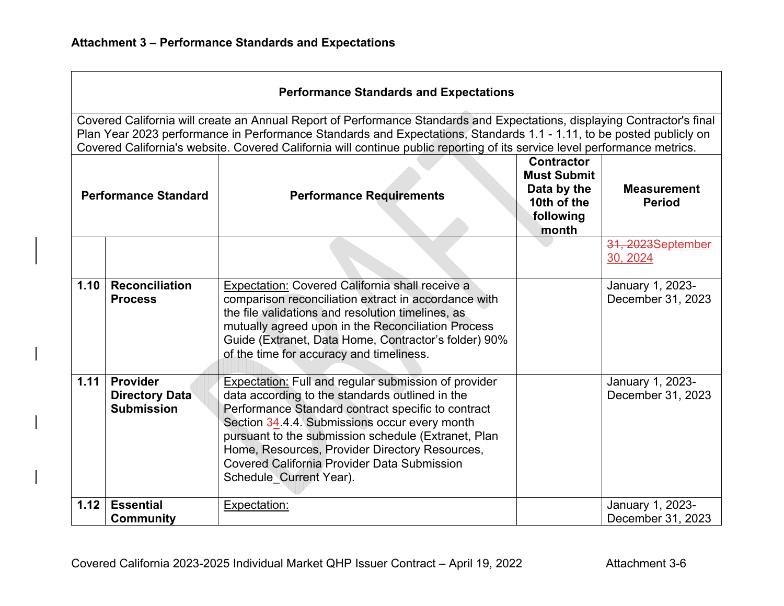| <b>Performance Standards and Expectations</b>                                                                                                                                                                                                                                                                                                                                 |                                                        |                                                                                                                                                                                                                                                                                                                                                                                                                 |                                                                                             |                                       |  |
|-------------------------------------------------------------------------------------------------------------------------------------------------------------------------------------------------------------------------------------------------------------------------------------------------------------------------------------------------------------------------------|--------------------------------------------------------|-----------------------------------------------------------------------------------------------------------------------------------------------------------------------------------------------------------------------------------------------------------------------------------------------------------------------------------------------------------------------------------------------------------------|---------------------------------------------------------------------------------------------|---------------------------------------|--|
| Covered California will create an Annual Report of Performance Standards and Expectations, displaying Contractor's final<br>Plan Year 2023 performance in Performance Standards and Expectations, Standards 1.1 - 1.11, to be posted publicly on<br>Covered California's website. Covered California will continue public reporting of its service level performance metrics. |                                                        |                                                                                                                                                                                                                                                                                                                                                                                                                 |                                                                                             |                                       |  |
| <b>Performance Standard</b>                                                                                                                                                                                                                                                                                                                                                   |                                                        | <b>Performance Requirements</b>                                                                                                                                                                                                                                                                                                                                                                                 | <b>Contractor</b><br><b>Must Submit</b><br>Data by the<br>10th of the<br>following<br>month | <b>Measurement</b><br><b>Period</b>   |  |
|                                                                                                                                                                                                                                                                                                                                                                               |                                                        |                                                                                                                                                                                                                                                                                                                                                                                                                 |                                                                                             | 31, 2023September<br>30, 2024         |  |
| 1.10                                                                                                                                                                                                                                                                                                                                                                          | <b>Reconciliation</b><br><b>Process</b>                | Expectation: Covered California shall receive a<br>comparison reconciliation extract in accordance with<br>the file validations and resolution timelines, as<br>mutually agreed upon in the Reconciliation Process<br>Guide (Extranet, Data Home, Contractor's folder) 90%<br>of the time for accuracy and timeliness.                                                                                          |                                                                                             | January 1, 2023-<br>December 31, 2023 |  |
| 1.11                                                                                                                                                                                                                                                                                                                                                                          | Provider<br><b>Directory Data</b><br><b>Submission</b> | <b>Expectation: Full and regular submission of provider</b><br>data according to the standards outlined in the<br>Performance Standard contract specific to contract<br>Section 34.4.4. Submissions occur every month<br>pursuant to the submission schedule (Extranet, Plan<br>Home, Resources, Provider Directory Resources,<br><b>Covered California Provider Data Submission</b><br>Schedule Current Year). |                                                                                             | January 1, 2023-<br>December 31, 2023 |  |
| 1.12                                                                                                                                                                                                                                                                                                                                                                          | <b>Essential</b><br><b>Community</b>                   | Expectation:                                                                                                                                                                                                                                                                                                                                                                                                    |                                                                                             | January 1, 2023-<br>December 31, 2023 |  |

┑